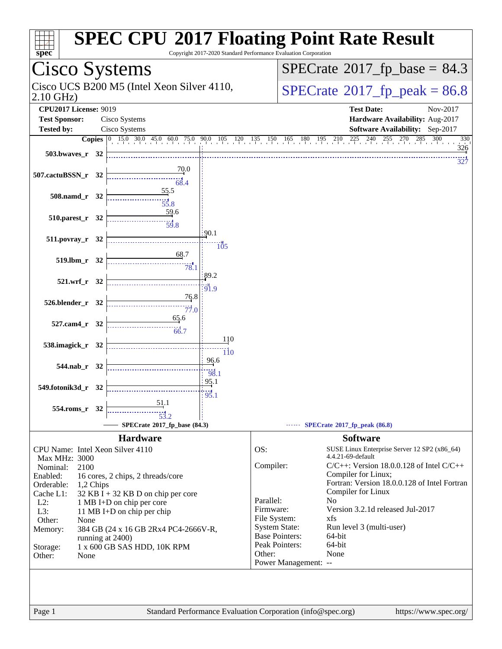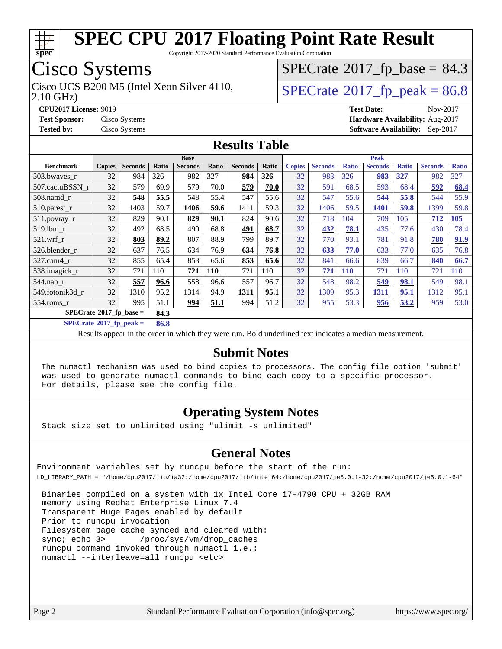

Copyright 2017-2020 Standard Performance Evaluation Corporation

## Cisco Systems

2.10 GHz) Cisco UCS B200 M5 (Intel Xeon Silver 4110,  $\begin{array}{|l|l|}\n\hline\n\text{SPECrate} \text{\textdegree}2017\_fp\_peak = 86.8\n\end{array}$  $\begin{array}{|l|l|}\n\hline\n\text{SPECrate} \text{\textdegree}2017\_fp\_peak = 86.8\n\end{array}$  $\begin{array}{|l|l|}\n\hline\n\text{SPECrate} \text{\textdegree}2017\_fp\_peak = 86.8\n\end{array}$ 

 $SPECTate@2017_fp\_base = 84.3$ 

**[Tested by:](http://www.spec.org/auto/cpu2017/Docs/result-fields.html#Testedby)** Cisco Systems **[Software Availability:](http://www.spec.org/auto/cpu2017/Docs/result-fields.html#SoftwareAvailability)** Sep-2017

**[CPU2017 License:](http://www.spec.org/auto/cpu2017/Docs/result-fields.html#CPU2017License)** 9019 **[Test Date:](http://www.spec.org/auto/cpu2017/Docs/result-fields.html#TestDate)** Nov-2017 **[Test Sponsor:](http://www.spec.org/auto/cpu2017/Docs/result-fields.html#TestSponsor)** Cisco Systems **[Hardware Availability:](http://www.spec.org/auto/cpu2017/Docs/result-fields.html#HardwareAvailability)** Aug-2017

#### **[Results Table](http://www.spec.org/auto/cpu2017/Docs/result-fields.html#ResultsTable)**

|                            | <b>Base</b>   |                |       |                |       |                |       | Peak          |                |              |                |              |                |              |
|----------------------------|---------------|----------------|-------|----------------|-------|----------------|-------|---------------|----------------|--------------|----------------|--------------|----------------|--------------|
| <b>Benchmark</b>           | <b>Copies</b> | <b>Seconds</b> | Ratio | <b>Seconds</b> | Ratio | <b>Seconds</b> | Ratio | <b>Copies</b> | <b>Seconds</b> | <b>Ratio</b> | <b>Seconds</b> | <b>Ratio</b> | <b>Seconds</b> | <b>Ratio</b> |
| 503.bwaves r               | 32            | 984            | 326   | 982            | 327   | 984            | 326   | 32            | 983            | 326          | <u>983</u>     | 327          | 982            | 327          |
| 507.cactuBSSN r            | 32            | 579            | 69.9  | 579            | 70.0  | 579            | 70.0  | 32            | 591            | 68.5         | 593            | 68.4         | 592            | 68.4         |
| $508$ .namd $r$            | 32            | 548            | 55.5  | 548            | 55.4  | 547            | 55.6  | 32            | 547            | 55.6         | 544            | 55.8         | 544            | 55.9         |
| 510.parest_r               | 32            | 1403           | 59.7  | 1406           | 59.6  | 1411           | 59.3  | 32            | 1406           | 59.5         | 1401           | 59.8         | 1399           | 59.8         |
| 511.povray_r               | 32            | 829            | 90.1  | 829            | 90.1  | 824            | 90.6  | 32            | 718            | 104          | 709            | 105          | 712            | <b>105</b>   |
| 519.1bm r                  | 32            | 492            | 68.5  | 490            | 68.8  | 491            | 68.7  | 32            | 432            | 78.1         | 435            | 77.6         | 430            | 78.4         |
| $521$ .wrf r               | 32            | 803            | 89.2  | 807            | 88.9  | 799            | 89.7  | 32            | 770            | 93.1         | 781            | 91.8         | 780            | 91.9         |
| 526.blender r              | 32            | 637            | 76.5  | 634            | 76.9  | 634            | 76.8  | 32            | 633            | 77.0         | 633            | 77.0         | 635            | 76.8         |
| $527$ .cam $4r$            | 32            | 855            | 65.4  | 853            | 65.6  | 853            | 65.6  | 32            | 841            | 66.6         | 839            | 66.7         | 840            | 66.7         |
| 538.imagick_r              | 32            | 721            | 110   | 721            | 110   | 721            | 110   | 32            | $721$          | <b>110</b>   | 721            | 110          | 721            | 110          |
| $544$ .nab_r               | 32            | 557            | 96.6  | 558            | 96.6  | 557            | 96.7  | 32            | 548            | 98.2         | 549            | 98.1         | 549            | 98.1         |
| 549.fotonik3d r            | 32            | 1310           | 95.2  | 1314           | 94.9  | 1311           | 95.1  | 32            | 1309           | 95.3         | 1311           | 95.1         | 1312           | 95.1         |
| $554$ .roms $r$            | 32            | 995            | 51.1  | <u>994</u>     | 51.1  | 994            | 51.2  | 32            | 955            | 53.3         | 956            | 53.2         | 959            | 53.0         |
| $SPECrate*2017_fp\_base =$ |               |                | 84.3  |                |       |                |       |               |                |              |                |              |                |              |

**[SPECrate](http://www.spec.org/auto/cpu2017/Docs/result-fields.html#SPECrate2017fppeak)[2017\\_fp\\_peak =](http://www.spec.org/auto/cpu2017/Docs/result-fields.html#SPECrate2017fppeak) 86.8**

Results appear in the [order in which they were run.](http://www.spec.org/auto/cpu2017/Docs/result-fields.html#RunOrder) Bold underlined text [indicates a median measurement.](http://www.spec.org/auto/cpu2017/Docs/result-fields.html#Median)

#### **[Submit Notes](http://www.spec.org/auto/cpu2017/Docs/result-fields.html#SubmitNotes)**

 The numactl mechanism was used to bind copies to processors. The config file option 'submit' was used to generate numactl commands to bind each copy to a specific processor. For details, please see the config file.

#### **[Operating System Notes](http://www.spec.org/auto/cpu2017/Docs/result-fields.html#OperatingSystemNotes)**

Stack size set to unlimited using "ulimit -s unlimited"

#### **[General Notes](http://www.spec.org/auto/cpu2017/Docs/result-fields.html#GeneralNotes)**

Environment variables set by runcpu before the start of the run: LD\_LIBRARY\_PATH = "/home/cpu2017/lib/ia32:/home/cpu2017/lib/intel64:/home/cpu2017/je5.0.1-32:/home/cpu2017/je5.0.1-64"

 Binaries compiled on a system with 1x Intel Core i7-4790 CPU + 32GB RAM memory using Redhat Enterprise Linux 7.4 Transparent Huge Pages enabled by default Prior to runcpu invocation Filesystem page cache synced and cleared with: sync; echo 3> /proc/sys/vm/drop\_caches runcpu command invoked through numactl i.e.: numactl --interleave=all runcpu <etc>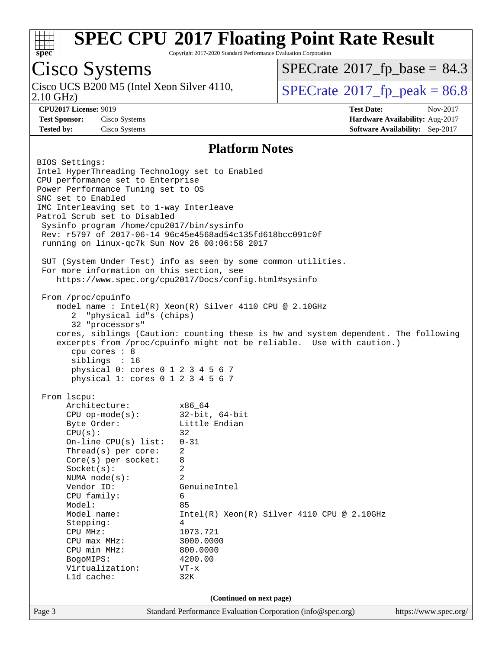

Copyright 2017-2020 Standard Performance Evaluation Corporation

## Cisco Systems

2.10 GHz) Cisco UCS B200 M5 (Intel Xeon Silver 4110,  $\vert$  [SPECrate](http://www.spec.org/auto/cpu2017/Docs/result-fields.html#SPECrate2017fppeak) 2017 fp peak = 86.8

 $SPECTate@2017_fp\_base = 84.3$ 

**[CPU2017 License:](http://www.spec.org/auto/cpu2017/Docs/result-fields.html#CPU2017License)** 9019 **[Test Date:](http://www.spec.org/auto/cpu2017/Docs/result-fields.html#TestDate)** Nov-2017 **[Test Sponsor:](http://www.spec.org/auto/cpu2017/Docs/result-fields.html#TestSponsor)** Cisco Systems **[Hardware Availability:](http://www.spec.org/auto/cpu2017/Docs/result-fields.html#HardwareAvailability)** Aug-2017 **[Tested by:](http://www.spec.org/auto/cpu2017/Docs/result-fields.html#Testedby)** Cisco Systems **[Software Availability:](http://www.spec.org/auto/cpu2017/Docs/result-fields.html#SoftwareAvailability)** Sep-2017

#### **[Platform Notes](http://www.spec.org/auto/cpu2017/Docs/result-fields.html#PlatformNotes)**

Page 3 Standard Performance Evaluation Corporation [\(info@spec.org\)](mailto:info@spec.org) <https://www.spec.org/> BIOS Settings: Intel HyperThreading Technology set to Enabled CPU performance set to Enterprise Power Performance Tuning set to OS SNC set to Enabled IMC Interleaving set to 1-way Interleave Patrol Scrub set to Disabled Sysinfo program /home/cpu2017/bin/sysinfo Rev: r5797 of 2017-06-14 96c45e4568ad54c135fd618bcc091c0f running on linux-qc7k Sun Nov 26 00:06:58 2017 SUT (System Under Test) info as seen by some common utilities. For more information on this section, see <https://www.spec.org/cpu2017/Docs/config.html#sysinfo> From /proc/cpuinfo model name : Intel(R) Xeon(R) Silver 4110 CPU @ 2.10GHz 2 "physical id"s (chips) 32 "processors" cores, siblings (Caution: counting these is hw and system dependent. The following excerpts from /proc/cpuinfo might not be reliable. Use with caution.) cpu cores : 8 siblings : 16 physical 0: cores 0 1 2 3 4 5 6 7 physical 1: cores 0 1 2 3 4 5 6 7 From lscpu: Architecture: x86\_64 CPU op-mode(s): 32-bit, 64-bit Byte Order: Little Endian  $CPU(s):$  32 On-line CPU(s) list: 0-31 Thread(s) per core: 2 Core(s) per socket: 8 Socket(s): 2 NUMA node(s): 2 Vendor ID: GenuineIntel CPU family: 6 Model: 85 Model name:  $Intel(R)$  Xeon(R) Silver 4110 CPU @ 2.10GHz Stepping: 4 CPU MHz: 1073.721<br>
CPU max MHz: 3000.0000 CPU max MHz: 3000.000<br>
CPU min MHz: 300.0000 CPU min MHz: BogoMIPS: 4200.00 Virtualization: VT-x L1d cache: 32K **(Continued on next page)**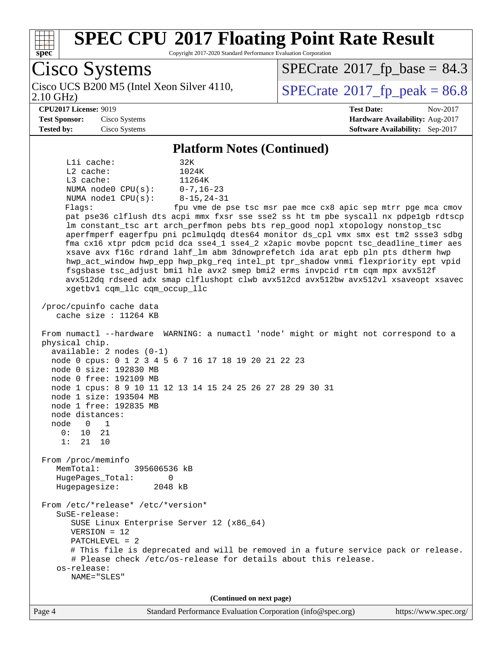

Copyright 2017-2020 Standard Performance Evaluation Corporation

Cisco Systems 2.10 GHz) Cisco UCS B200 M5 (Intel Xeon Silver 4110,  $\vert$  [SPECrate](http://www.spec.org/auto/cpu2017/Docs/result-fields.html#SPECrate2017fppeak) 2017 fp peak = 86.8  $SPECTate@2017_fp\_base = 84.3$ **[CPU2017 License:](http://www.spec.org/auto/cpu2017/Docs/result-fields.html#CPU2017License)** 9019 **[Test Date:](http://www.spec.org/auto/cpu2017/Docs/result-fields.html#TestDate)** Nov-2017 **[Test Sponsor:](http://www.spec.org/auto/cpu2017/Docs/result-fields.html#TestSponsor)** Cisco Systems **[Hardware Availability:](http://www.spec.org/auto/cpu2017/Docs/result-fields.html#HardwareAvailability)** Aug-2017 **[Tested by:](http://www.spec.org/auto/cpu2017/Docs/result-fields.html#Testedby)** Cisco Systems **[Software Availability:](http://www.spec.org/auto/cpu2017/Docs/result-fields.html#SoftwareAvailability)** Sep-2017 **[Platform Notes \(Continued\)](http://www.spec.org/auto/cpu2017/Docs/result-fields.html#PlatformNotes)** L1i cache: 32K L2 cache: 1024K L3 cache: 11264K NUMA node0 CPU(s): 0-7,16-23 NUMA node1 CPU(s): 8-15,24-31 Flags: fpu vme de pse tsc msr pae mce cx8 apic sep mtrr pge mca cmov pat pse36 clflush dts acpi mmx fxsr sse sse2 ss ht tm pbe syscall nx pdpe1gb rdtscp lm constant\_tsc art arch\_perfmon pebs bts rep\_good nopl xtopology nonstop\_tsc aperfmperf eagerfpu pni pclmulqdq dtes64 monitor ds\_cpl vmx smx est tm2 ssse3 sdbg fma cx16 xtpr pdcm pcid dca sse4\_1 sse4\_2 x2apic movbe popcnt tsc\_deadline\_timer aes xsave avx f16c rdrand lahf\_lm abm 3dnowprefetch ida arat epb pln pts dtherm hwp hwp\_act\_window hwp\_epp hwp\_pkg\_req intel\_pt tpr\_shadow vnmi flexpriority ept vpid fsgsbase tsc\_adjust bmi1 hle avx2 smep bmi2 erms invpcid rtm cqm mpx avx512f avx512dq rdseed adx smap clflushopt clwb avx512cd avx512bw avx512vl xsaveopt xsavec xgetbv1 cqm\_llc cqm\_occup\_llc /proc/cpuinfo cache data cache size : 11264 KB From numactl --hardware WARNING: a numactl 'node' might or might not correspond to a physical chip. available: 2 nodes (0-1) node 0 cpus: 0 1 2 3 4 5 6 7 16 17 18 19 20 21 22 23 node 0 size: 192830 MB node 0 free: 192109 MB node 1 cpus: 8 9 10 11 12 13 14 15 24 25 26 27 28 29 30 31 node 1 size: 193504 MB node 1 free: 192835 MB node distances: node 0 1 0: 10 21 1: 21 10 From /proc/meminfo MemTotal: 395606536 kB HugePages\_Total: 0 Hugepagesize: 2048 kB From /etc/\*release\* /etc/\*version\* SuSE-release: SUSE Linux Enterprise Server 12 (x86\_64) VERSION = 12 PATCHLEVEL = 2 # This file is deprecated and will be removed in a future service pack or release. # Please check /etc/os-release for details about this release. os-release: NAME="SLES" **(Continued on next page)**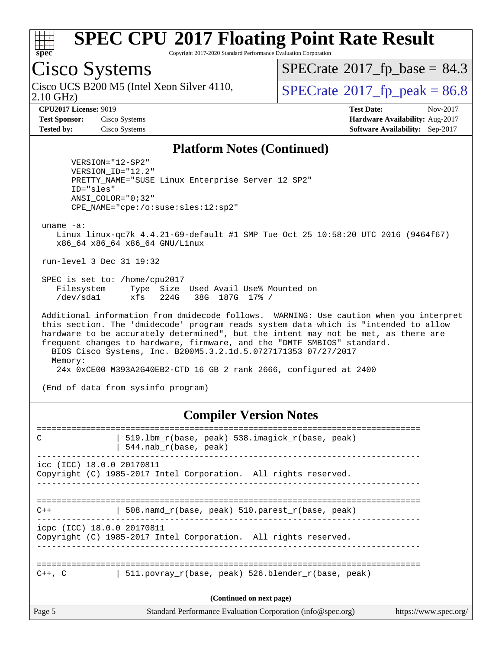

Copyright 2017-2020 Standard Performance Evaluation Corporation

### Cisco Systems

2.10 GHz) Cisco UCS B200 M5 (Intel Xeon Silver 4110,  $\vert$  [SPECrate](http://www.spec.org/auto/cpu2017/Docs/result-fields.html#SPECrate2017fppeak) 2017 fp peak = 86.8

 $SPECTate@2017_fp\_base = 84.3$ 

**[CPU2017 License:](http://www.spec.org/auto/cpu2017/Docs/result-fields.html#CPU2017License)** 9019 **[Test Date:](http://www.spec.org/auto/cpu2017/Docs/result-fields.html#TestDate)** Nov-2017 **[Test Sponsor:](http://www.spec.org/auto/cpu2017/Docs/result-fields.html#TestSponsor)** Cisco Systems **[Hardware Availability:](http://www.spec.org/auto/cpu2017/Docs/result-fields.html#HardwareAvailability)** Aug-2017 **[Tested by:](http://www.spec.org/auto/cpu2017/Docs/result-fields.html#Testedby)** Cisco Systems **[Software Availability:](http://www.spec.org/auto/cpu2017/Docs/result-fields.html#SoftwareAvailability)** Sep-2017

#### **[Platform Notes \(Continued\)](http://www.spec.org/auto/cpu2017/Docs/result-fields.html#PlatformNotes)**

 VERSION="12-SP2" VERSION\_ID="12.2" PRETTY\_NAME="SUSE Linux Enterprise Server 12 SP2" ID="sles" ANSI\_COLOR="0;32" CPE\_NAME="cpe:/o:suse:sles:12:sp2"

uname -a:

 Linux linux-qc7k 4.4.21-69-default #1 SMP Tue Oct 25 10:58:20 UTC 2016 (9464f67) x86\_64 x86\_64 x86\_64 GNU/Linux

run-level 3 Dec 31 19:32

 SPEC is set to: /home/cpu2017 Filesystem Type Size Used Avail Use% Mounted on /dev/sda1 xfs 224G 38G 187G 17% /

 Additional information from dmidecode follows. WARNING: Use caution when you interpret this section. The 'dmidecode' program reads system data which is "intended to allow hardware to be accurately determined", but the intent may not be met, as there are frequent changes to hardware, firmware, and the "DMTF SMBIOS" standard. BIOS Cisco Systems, Inc. B200M5.3.2.1d.5.0727171353 07/27/2017 Memory: 24x 0xCE00 M393A2G40EB2-CTD 16 GB 2 rank 2666, configured at 2400

(End of data from sysinfo program)

**[Compiler Version Notes](http://www.spec.org/auto/cpu2017/Docs/result-fields.html#CompilerVersionNotes)**

| $\mathcal{C}$              | 519.1bm_r(base, peak) 538.imagick_r(base, peak)<br>$544$ .nab $r(base, peak)$ |                       |
|----------------------------|-------------------------------------------------------------------------------|-----------------------|
| icc (ICC) 18.0.0 20170811  | Copyright (C) 1985-2017 Intel Corporation. All rights reserved.               |                       |
| $C++$                      | 508. namd $r(base, peak)$ 510. parest $r(base, peak)$                         |                       |
| icpc (ICC) 18.0.0 20170811 | Copyright (C) 1985-2017 Intel Corporation. All rights reserved.               |                       |
| $C++$ , $C$                | 511.povray r(base, peak) 526.blender r(base, peak)                            |                       |
|                            | (Continued on next page)                                                      |                       |
| Page 5                     | Standard Performance Evaluation Corporation (info@spec.org)                   | https://www.spec.org/ |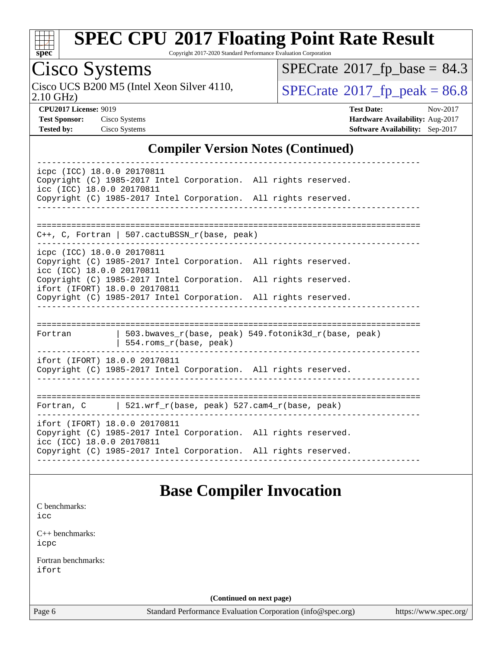

Copyright 2017-2020 Standard Performance Evaluation Corporation

## Cisco Systems

2.10 GHz) Cisco UCS B200 M5 (Intel Xeon Silver 4110,  $\text{SPECrate} \textcircled{\scriptsize{\degree}} 2017\_fp\_peak = 86.8$  $\text{SPECrate} \textcircled{\scriptsize{\degree}} 2017\_fp\_peak = 86.8$  $\text{SPECrate} \textcircled{\scriptsize{\degree}} 2017\_fp\_peak = 86.8$ 

 $SPECrate$ <sup>®</sup>[2017\\_fp\\_base =](http://www.spec.org/auto/cpu2017/Docs/result-fields.html#SPECrate2017fpbase) 84.3

**[CPU2017 License:](http://www.spec.org/auto/cpu2017/Docs/result-fields.html#CPU2017License)** 9019 **[Test Date:](http://www.spec.org/auto/cpu2017/Docs/result-fields.html#TestDate)** Nov-2017 **[Test Sponsor:](http://www.spec.org/auto/cpu2017/Docs/result-fields.html#TestSponsor)** Cisco Systems **[Hardware Availability:](http://www.spec.org/auto/cpu2017/Docs/result-fields.html#HardwareAvailability)** Aug-2017 **[Tested by:](http://www.spec.org/auto/cpu2017/Docs/result-fields.html#Testedby)** Cisco Systems **[Software Availability:](http://www.spec.org/auto/cpu2017/Docs/result-fields.html#SoftwareAvailability)** Sep-2017

#### **[Compiler Version Notes \(Continued\)](http://www.spec.org/auto/cpu2017/Docs/result-fields.html#CompilerVersionNotes)**

| icpc (ICC) 18.0.0 20170811<br>Copyright (C) 1985-2017 Intel Corporation. All rights reserved.<br>icc (ICC) 18.0.0 20170811<br>Copyright (C) 1985-2017 Intel Corporation. All rights reserved. |
|-----------------------------------------------------------------------------------------------------------------------------------------------------------------------------------------------|
|                                                                                                                                                                                               |
| $C++$ , C, Fortran   507.cactuBSSN_r(base, peak)                                                                                                                                              |
|                                                                                                                                                                                               |
| icpc (ICC) 18.0.0 20170811<br>Copyright (C) 1985-2017 Intel Corporation. All rights reserved.<br>icc (ICC) 18.0.0 20170811                                                                    |
| Copyright (C) 1985-2017 Intel Corporation. All rights reserved.<br>ifort (IFORT) 18.0.0 20170811                                                                                              |
| Copyright (C) 1985-2017 Intel Corporation. All rights reserved.                                                                                                                               |
|                                                                                                                                                                                               |
| $503.bwaves_r(base, peak)$ 549.fotonik3d_r(base, peak)<br>Fortran<br>$554.rows_r(base, peak)$                                                                                                 |
| ifort (IFORT) 18.0.0 20170811<br>Copyright (C) 1985-2017 Intel Corporation. All rights reserved.                                                                                              |
| Fortran, $C$   521.wrf $r(base, peak)$ 527.cam4 $r(base, peak)$                                                                                                                               |
| ifort (IFORT) 18.0.0 20170811<br>Copyright (C) 1985-2017 Intel Corporation. All rights reserved.<br>icc (ICC) 18.0.0 20170811                                                                 |
| Copyright (C) 1985-2017 Intel Corporation. All rights reserved.                                                                                                                               |

#### **[Base Compiler Invocation](http://www.spec.org/auto/cpu2017/Docs/result-fields.html#BaseCompilerInvocation)**

[C benchmarks](http://www.spec.org/auto/cpu2017/Docs/result-fields.html#Cbenchmarks):

[icc](http://www.spec.org/cpu2017/results/res2017q4/cpu2017-20171128-01309.flags.html#user_CCbase_intel_icc_18.0_66fc1ee009f7361af1fbd72ca7dcefbb700085f36577c54f309893dd4ec40d12360134090235512931783d35fd58c0460139e722d5067c5574d8eaf2b3e37e92)

[C++ benchmarks:](http://www.spec.org/auto/cpu2017/Docs/result-fields.html#CXXbenchmarks) [icpc](http://www.spec.org/cpu2017/results/res2017q4/cpu2017-20171128-01309.flags.html#user_CXXbase_intel_icpc_18.0_c510b6838c7f56d33e37e94d029a35b4a7bccf4766a728ee175e80a419847e808290a9b78be685c44ab727ea267ec2f070ec5dc83b407c0218cded6866a35d07)

[Fortran benchmarks](http://www.spec.org/auto/cpu2017/Docs/result-fields.html#Fortranbenchmarks): [ifort](http://www.spec.org/cpu2017/results/res2017q4/cpu2017-20171128-01309.flags.html#user_FCbase_intel_ifort_18.0_8111460550e3ca792625aed983ce982f94888b8b503583aa7ba2b8303487b4d8a21a13e7191a45c5fd58ff318f48f9492884d4413fa793fd88dd292cad7027ca)

**(Continued on next page)**

Page 6 Standard Performance Evaluation Corporation [\(info@spec.org\)](mailto:info@spec.org) <https://www.spec.org/>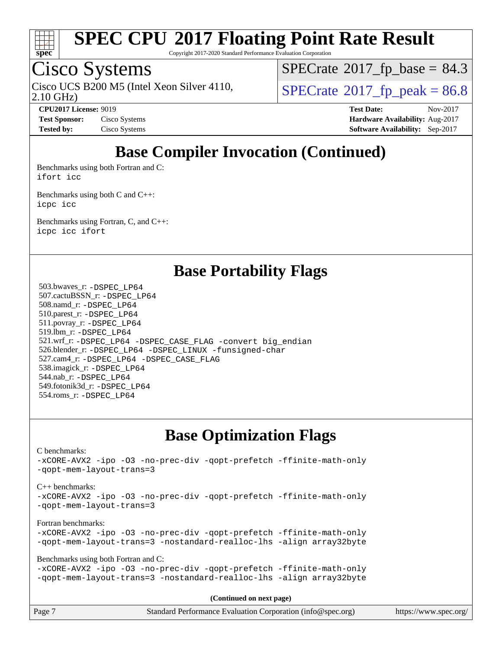

Copyright 2017-2020 Standard Performance Evaluation Corporation

### Cisco Systems

2.10 GHz) Cisco UCS B200 M5 (Intel Xeon Silver 4110,  $\vert$  [SPECrate](http://www.spec.org/auto/cpu2017/Docs/result-fields.html#SPECrate2017fppeak)®[2017\\_fp\\_peak = 8](http://www.spec.org/auto/cpu2017/Docs/result-fields.html#SPECrate2017fppeak)6.8

 $SPECTate@2017_fp\_base = 84.3$ 

**[CPU2017 License:](http://www.spec.org/auto/cpu2017/Docs/result-fields.html#CPU2017License)** 9019 **[Test Date:](http://www.spec.org/auto/cpu2017/Docs/result-fields.html#TestDate)** Nov-2017 **[Test Sponsor:](http://www.spec.org/auto/cpu2017/Docs/result-fields.html#TestSponsor)** Cisco Systems **[Hardware Availability:](http://www.spec.org/auto/cpu2017/Docs/result-fields.html#HardwareAvailability)** Aug-2017 **[Tested by:](http://www.spec.org/auto/cpu2017/Docs/result-fields.html#Testedby)** Cisco Systems **[Software Availability:](http://www.spec.org/auto/cpu2017/Docs/result-fields.html#SoftwareAvailability)** Sep-2017

### **[Base Compiler Invocation \(Continued\)](http://www.spec.org/auto/cpu2017/Docs/result-fields.html#BaseCompilerInvocation)**

[Benchmarks using both Fortran and C](http://www.spec.org/auto/cpu2017/Docs/result-fields.html#BenchmarksusingbothFortranandC): [ifort](http://www.spec.org/cpu2017/results/res2017q4/cpu2017-20171128-01309.flags.html#user_CC_FCbase_intel_ifort_18.0_8111460550e3ca792625aed983ce982f94888b8b503583aa7ba2b8303487b4d8a21a13e7191a45c5fd58ff318f48f9492884d4413fa793fd88dd292cad7027ca) [icc](http://www.spec.org/cpu2017/results/res2017q4/cpu2017-20171128-01309.flags.html#user_CC_FCbase_intel_icc_18.0_66fc1ee009f7361af1fbd72ca7dcefbb700085f36577c54f309893dd4ec40d12360134090235512931783d35fd58c0460139e722d5067c5574d8eaf2b3e37e92)

[Benchmarks using both C and C++](http://www.spec.org/auto/cpu2017/Docs/result-fields.html#BenchmarksusingbothCandCXX): [icpc](http://www.spec.org/cpu2017/results/res2017q4/cpu2017-20171128-01309.flags.html#user_CC_CXXbase_intel_icpc_18.0_c510b6838c7f56d33e37e94d029a35b4a7bccf4766a728ee175e80a419847e808290a9b78be685c44ab727ea267ec2f070ec5dc83b407c0218cded6866a35d07) [icc](http://www.spec.org/cpu2017/results/res2017q4/cpu2017-20171128-01309.flags.html#user_CC_CXXbase_intel_icc_18.0_66fc1ee009f7361af1fbd72ca7dcefbb700085f36577c54f309893dd4ec40d12360134090235512931783d35fd58c0460139e722d5067c5574d8eaf2b3e37e92)

[Benchmarks using Fortran, C, and C++:](http://www.spec.org/auto/cpu2017/Docs/result-fields.html#BenchmarksusingFortranCandCXX) [icpc](http://www.spec.org/cpu2017/results/res2017q4/cpu2017-20171128-01309.flags.html#user_CC_CXX_FCbase_intel_icpc_18.0_c510b6838c7f56d33e37e94d029a35b4a7bccf4766a728ee175e80a419847e808290a9b78be685c44ab727ea267ec2f070ec5dc83b407c0218cded6866a35d07) [icc](http://www.spec.org/cpu2017/results/res2017q4/cpu2017-20171128-01309.flags.html#user_CC_CXX_FCbase_intel_icc_18.0_66fc1ee009f7361af1fbd72ca7dcefbb700085f36577c54f309893dd4ec40d12360134090235512931783d35fd58c0460139e722d5067c5574d8eaf2b3e37e92) [ifort](http://www.spec.org/cpu2017/results/res2017q4/cpu2017-20171128-01309.flags.html#user_CC_CXX_FCbase_intel_ifort_18.0_8111460550e3ca792625aed983ce982f94888b8b503583aa7ba2b8303487b4d8a21a13e7191a45c5fd58ff318f48f9492884d4413fa793fd88dd292cad7027ca)

**[Base Portability Flags](http://www.spec.org/auto/cpu2017/Docs/result-fields.html#BasePortabilityFlags)**

 503.bwaves\_r: [-DSPEC\\_LP64](http://www.spec.org/cpu2017/results/res2017q4/cpu2017-20171128-01309.flags.html#suite_basePORTABILITY503_bwaves_r_DSPEC_LP64) 507.cactuBSSN\_r: [-DSPEC\\_LP64](http://www.spec.org/cpu2017/results/res2017q4/cpu2017-20171128-01309.flags.html#suite_basePORTABILITY507_cactuBSSN_r_DSPEC_LP64) 508.namd\_r: [-DSPEC\\_LP64](http://www.spec.org/cpu2017/results/res2017q4/cpu2017-20171128-01309.flags.html#suite_basePORTABILITY508_namd_r_DSPEC_LP64) 510.parest\_r: [-DSPEC\\_LP64](http://www.spec.org/cpu2017/results/res2017q4/cpu2017-20171128-01309.flags.html#suite_basePORTABILITY510_parest_r_DSPEC_LP64) 511.povray\_r: [-DSPEC\\_LP64](http://www.spec.org/cpu2017/results/res2017q4/cpu2017-20171128-01309.flags.html#suite_basePORTABILITY511_povray_r_DSPEC_LP64) 519.lbm\_r: [-DSPEC\\_LP64](http://www.spec.org/cpu2017/results/res2017q4/cpu2017-20171128-01309.flags.html#suite_basePORTABILITY519_lbm_r_DSPEC_LP64) 521.wrf\_r: [-DSPEC\\_LP64](http://www.spec.org/cpu2017/results/res2017q4/cpu2017-20171128-01309.flags.html#suite_basePORTABILITY521_wrf_r_DSPEC_LP64) [-DSPEC\\_CASE\\_FLAG](http://www.spec.org/cpu2017/results/res2017q4/cpu2017-20171128-01309.flags.html#b521.wrf_r_baseCPORTABILITY_DSPEC_CASE_FLAG) [-convert big\\_endian](http://www.spec.org/cpu2017/results/res2017q4/cpu2017-20171128-01309.flags.html#user_baseFPORTABILITY521_wrf_r_convert_big_endian_c3194028bc08c63ac5d04de18c48ce6d347e4e562e8892b8bdbdc0214820426deb8554edfa529a3fb25a586e65a3d812c835984020483e7e73212c4d31a38223) 526.blender\_r: [-DSPEC\\_LP64](http://www.spec.org/cpu2017/results/res2017q4/cpu2017-20171128-01309.flags.html#suite_basePORTABILITY526_blender_r_DSPEC_LP64) [-DSPEC\\_LINUX](http://www.spec.org/cpu2017/results/res2017q4/cpu2017-20171128-01309.flags.html#b526.blender_r_baseCPORTABILITY_DSPEC_LINUX) [-funsigned-char](http://www.spec.org/cpu2017/results/res2017q4/cpu2017-20171128-01309.flags.html#user_baseCPORTABILITY526_blender_r_force_uchar_40c60f00ab013830e2dd6774aeded3ff59883ba5a1fc5fc14077f794d777847726e2a5858cbc7672e36e1b067e7e5c1d9a74f7176df07886a243d7cc18edfe67) 527.cam4\_r: [-DSPEC\\_LP64](http://www.spec.org/cpu2017/results/res2017q4/cpu2017-20171128-01309.flags.html#suite_basePORTABILITY527_cam4_r_DSPEC_LP64) [-DSPEC\\_CASE\\_FLAG](http://www.spec.org/cpu2017/results/res2017q4/cpu2017-20171128-01309.flags.html#b527.cam4_r_baseCPORTABILITY_DSPEC_CASE_FLAG) 538.imagick\_r: [-DSPEC\\_LP64](http://www.spec.org/cpu2017/results/res2017q4/cpu2017-20171128-01309.flags.html#suite_basePORTABILITY538_imagick_r_DSPEC_LP64) 544.nab\_r: [-DSPEC\\_LP64](http://www.spec.org/cpu2017/results/res2017q4/cpu2017-20171128-01309.flags.html#suite_basePORTABILITY544_nab_r_DSPEC_LP64) 549.fotonik3d\_r: [-DSPEC\\_LP64](http://www.spec.org/cpu2017/results/res2017q4/cpu2017-20171128-01309.flags.html#suite_basePORTABILITY549_fotonik3d_r_DSPEC_LP64) 554.roms\_r: [-DSPEC\\_LP64](http://www.spec.org/cpu2017/results/res2017q4/cpu2017-20171128-01309.flags.html#suite_basePORTABILITY554_roms_r_DSPEC_LP64)

#### **[Base Optimization Flags](http://www.spec.org/auto/cpu2017/Docs/result-fields.html#BaseOptimizationFlags)**

[C benchmarks](http://www.spec.org/auto/cpu2017/Docs/result-fields.html#Cbenchmarks): [-xCORE-AVX2](http://www.spec.org/cpu2017/results/res2017q4/cpu2017-20171128-01309.flags.html#user_CCbase_f-xCORE-AVX2) [-ipo](http://www.spec.org/cpu2017/results/res2017q4/cpu2017-20171128-01309.flags.html#user_CCbase_f-ipo) [-O3](http://www.spec.org/cpu2017/results/res2017q4/cpu2017-20171128-01309.flags.html#user_CCbase_f-O3) [-no-prec-div](http://www.spec.org/cpu2017/results/res2017q4/cpu2017-20171128-01309.flags.html#user_CCbase_f-no-prec-div) [-qopt-prefetch](http://www.spec.org/cpu2017/results/res2017q4/cpu2017-20171128-01309.flags.html#user_CCbase_f-qopt-prefetch) [-ffinite-math-only](http://www.spec.org/cpu2017/results/res2017q4/cpu2017-20171128-01309.flags.html#user_CCbase_f_finite_math_only_cb91587bd2077682c4b38af759c288ed7c732db004271a9512da14a4f8007909a5f1427ecbf1a0fb78ff2a814402c6114ac565ca162485bbcae155b5e4258871) [-qopt-mem-layout-trans=3](http://www.spec.org/cpu2017/results/res2017q4/cpu2017-20171128-01309.flags.html#user_CCbase_f-qopt-mem-layout-trans_de80db37974c74b1f0e20d883f0b675c88c3b01e9d123adea9b28688d64333345fb62bc4a798493513fdb68f60282f9a726aa07f478b2f7113531aecce732043) [C++ benchmarks:](http://www.spec.org/auto/cpu2017/Docs/result-fields.html#CXXbenchmarks) [-xCORE-AVX2](http://www.spec.org/cpu2017/results/res2017q4/cpu2017-20171128-01309.flags.html#user_CXXbase_f-xCORE-AVX2) [-ipo](http://www.spec.org/cpu2017/results/res2017q4/cpu2017-20171128-01309.flags.html#user_CXXbase_f-ipo) [-O3](http://www.spec.org/cpu2017/results/res2017q4/cpu2017-20171128-01309.flags.html#user_CXXbase_f-O3) [-no-prec-div](http://www.spec.org/cpu2017/results/res2017q4/cpu2017-20171128-01309.flags.html#user_CXXbase_f-no-prec-div) [-qopt-prefetch](http://www.spec.org/cpu2017/results/res2017q4/cpu2017-20171128-01309.flags.html#user_CXXbase_f-qopt-prefetch) [-ffinite-math-only](http://www.spec.org/cpu2017/results/res2017q4/cpu2017-20171128-01309.flags.html#user_CXXbase_f_finite_math_only_cb91587bd2077682c4b38af759c288ed7c732db004271a9512da14a4f8007909a5f1427ecbf1a0fb78ff2a814402c6114ac565ca162485bbcae155b5e4258871) [-qopt-mem-layout-trans=3](http://www.spec.org/cpu2017/results/res2017q4/cpu2017-20171128-01309.flags.html#user_CXXbase_f-qopt-mem-layout-trans_de80db37974c74b1f0e20d883f0b675c88c3b01e9d123adea9b28688d64333345fb62bc4a798493513fdb68f60282f9a726aa07f478b2f7113531aecce732043) [Fortran benchmarks](http://www.spec.org/auto/cpu2017/Docs/result-fields.html#Fortranbenchmarks): [-xCORE-AVX2](http://www.spec.org/cpu2017/results/res2017q4/cpu2017-20171128-01309.flags.html#user_FCbase_f-xCORE-AVX2) [-ipo](http://www.spec.org/cpu2017/results/res2017q4/cpu2017-20171128-01309.flags.html#user_FCbase_f-ipo) [-O3](http://www.spec.org/cpu2017/results/res2017q4/cpu2017-20171128-01309.flags.html#user_FCbase_f-O3) [-no-prec-div](http://www.spec.org/cpu2017/results/res2017q4/cpu2017-20171128-01309.flags.html#user_FCbase_f-no-prec-div) [-qopt-prefetch](http://www.spec.org/cpu2017/results/res2017q4/cpu2017-20171128-01309.flags.html#user_FCbase_f-qopt-prefetch) [-ffinite-math-only](http://www.spec.org/cpu2017/results/res2017q4/cpu2017-20171128-01309.flags.html#user_FCbase_f_finite_math_only_cb91587bd2077682c4b38af759c288ed7c732db004271a9512da14a4f8007909a5f1427ecbf1a0fb78ff2a814402c6114ac565ca162485bbcae155b5e4258871) [-qopt-mem-layout-trans=3](http://www.spec.org/cpu2017/results/res2017q4/cpu2017-20171128-01309.flags.html#user_FCbase_f-qopt-mem-layout-trans_de80db37974c74b1f0e20d883f0b675c88c3b01e9d123adea9b28688d64333345fb62bc4a798493513fdb68f60282f9a726aa07f478b2f7113531aecce732043) [-nostandard-realloc-lhs](http://www.spec.org/cpu2017/results/res2017q4/cpu2017-20171128-01309.flags.html#user_FCbase_f_2003_std_realloc_82b4557e90729c0f113870c07e44d33d6f5a304b4f63d4c15d2d0f1fab99f5daaed73bdb9275d9ae411527f28b936061aa8b9c8f2d63842963b95c9dd6426b8a) [-align array32byte](http://www.spec.org/cpu2017/results/res2017q4/cpu2017-20171128-01309.flags.html#user_FCbase_align_array32byte_b982fe038af199962ba9a80c053b8342c548c85b40b8e86eb3cc33dee0d7986a4af373ac2d51c3f7cf710a18d62fdce2948f201cd044323541f22fc0fffc51b6) [Benchmarks using both Fortran and C](http://www.spec.org/auto/cpu2017/Docs/result-fields.html#BenchmarksusingbothFortranandC): [-xCORE-AVX2](http://www.spec.org/cpu2017/results/res2017q4/cpu2017-20171128-01309.flags.html#user_CC_FCbase_f-xCORE-AVX2) [-ipo](http://www.spec.org/cpu2017/results/res2017q4/cpu2017-20171128-01309.flags.html#user_CC_FCbase_f-ipo) [-O3](http://www.spec.org/cpu2017/results/res2017q4/cpu2017-20171128-01309.flags.html#user_CC_FCbase_f-O3) [-no-prec-div](http://www.spec.org/cpu2017/results/res2017q4/cpu2017-20171128-01309.flags.html#user_CC_FCbase_f-no-prec-div) [-qopt-prefetch](http://www.spec.org/cpu2017/results/res2017q4/cpu2017-20171128-01309.flags.html#user_CC_FCbase_f-qopt-prefetch) [-ffinite-math-only](http://www.spec.org/cpu2017/results/res2017q4/cpu2017-20171128-01309.flags.html#user_CC_FCbase_f_finite_math_only_cb91587bd2077682c4b38af759c288ed7c732db004271a9512da14a4f8007909a5f1427ecbf1a0fb78ff2a814402c6114ac565ca162485bbcae155b5e4258871) [-qopt-mem-layout-trans=3](http://www.spec.org/cpu2017/results/res2017q4/cpu2017-20171128-01309.flags.html#user_CC_FCbase_f-qopt-mem-layout-trans_de80db37974c74b1f0e20d883f0b675c88c3b01e9d123adea9b28688d64333345fb62bc4a798493513fdb68f60282f9a726aa07f478b2f7113531aecce732043) [-nostandard-realloc-lhs](http://www.spec.org/cpu2017/results/res2017q4/cpu2017-20171128-01309.flags.html#user_CC_FCbase_f_2003_std_realloc_82b4557e90729c0f113870c07e44d33d6f5a304b4f63d4c15d2d0f1fab99f5daaed73bdb9275d9ae411527f28b936061aa8b9c8f2d63842963b95c9dd6426b8a) [-align array32byte](http://www.spec.org/cpu2017/results/res2017q4/cpu2017-20171128-01309.flags.html#user_CC_FCbase_align_array32byte_b982fe038af199962ba9a80c053b8342c548c85b40b8e86eb3cc33dee0d7986a4af373ac2d51c3f7cf710a18d62fdce2948f201cd044323541f22fc0fffc51b6) **(Continued on next page)**

Page 7 Standard Performance Evaluation Corporation [\(info@spec.org\)](mailto:info@spec.org) <https://www.spec.org/>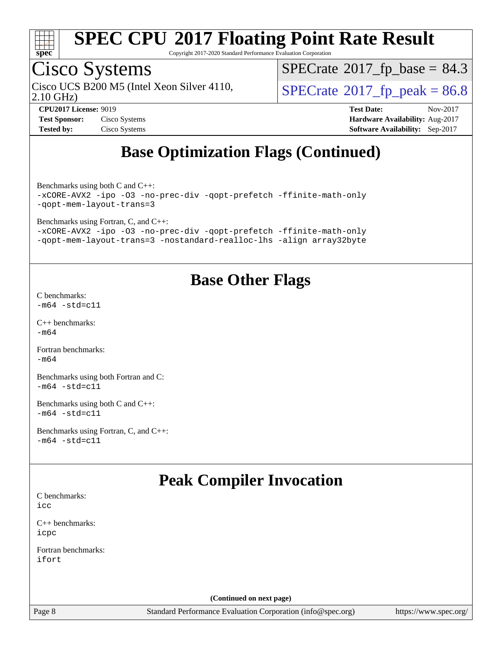

Copyright 2017-2020 Standard Performance Evaluation Corporation

## Cisco Systems

2.10 GHz) Cisco UCS B200 M5 (Intel Xeon Silver 4110,  $\vert$  [SPECrate](http://www.spec.org/auto/cpu2017/Docs/result-fields.html#SPECrate2017fppeak)<sup>®</sup>[2017\\_fp\\_peak = 8](http://www.spec.org/auto/cpu2017/Docs/result-fields.html#SPECrate2017fppeak)6.8

 $SPECTate@2017_fp\_base = 84.3$ 

**[Test Sponsor:](http://www.spec.org/auto/cpu2017/Docs/result-fields.html#TestSponsor)** Cisco Systems **[Hardware Availability:](http://www.spec.org/auto/cpu2017/Docs/result-fields.html#HardwareAvailability)** Aug-2017 **[Tested by:](http://www.spec.org/auto/cpu2017/Docs/result-fields.html#Testedby)** Cisco Systems **[Software Availability:](http://www.spec.org/auto/cpu2017/Docs/result-fields.html#SoftwareAvailability)** Sep-2017

**[CPU2017 License:](http://www.spec.org/auto/cpu2017/Docs/result-fields.html#CPU2017License)** 9019 **[Test Date:](http://www.spec.org/auto/cpu2017/Docs/result-fields.html#TestDate)** Nov-2017

### **[Base Optimization Flags \(Continued\)](http://www.spec.org/auto/cpu2017/Docs/result-fields.html#BaseOptimizationFlags)**

[Benchmarks using both C and C++](http://www.spec.org/auto/cpu2017/Docs/result-fields.html#BenchmarksusingbothCandCXX):

[-xCORE-AVX2](http://www.spec.org/cpu2017/results/res2017q4/cpu2017-20171128-01309.flags.html#user_CC_CXXbase_f-xCORE-AVX2) [-ipo](http://www.spec.org/cpu2017/results/res2017q4/cpu2017-20171128-01309.flags.html#user_CC_CXXbase_f-ipo) [-O3](http://www.spec.org/cpu2017/results/res2017q4/cpu2017-20171128-01309.flags.html#user_CC_CXXbase_f-O3) [-no-prec-div](http://www.spec.org/cpu2017/results/res2017q4/cpu2017-20171128-01309.flags.html#user_CC_CXXbase_f-no-prec-div) [-qopt-prefetch](http://www.spec.org/cpu2017/results/res2017q4/cpu2017-20171128-01309.flags.html#user_CC_CXXbase_f-qopt-prefetch) [-ffinite-math-only](http://www.spec.org/cpu2017/results/res2017q4/cpu2017-20171128-01309.flags.html#user_CC_CXXbase_f_finite_math_only_cb91587bd2077682c4b38af759c288ed7c732db004271a9512da14a4f8007909a5f1427ecbf1a0fb78ff2a814402c6114ac565ca162485bbcae155b5e4258871) [-qopt-mem-layout-trans=3](http://www.spec.org/cpu2017/results/res2017q4/cpu2017-20171128-01309.flags.html#user_CC_CXXbase_f-qopt-mem-layout-trans_de80db37974c74b1f0e20d883f0b675c88c3b01e9d123adea9b28688d64333345fb62bc4a798493513fdb68f60282f9a726aa07f478b2f7113531aecce732043)

[Benchmarks using Fortran, C, and C++:](http://www.spec.org/auto/cpu2017/Docs/result-fields.html#BenchmarksusingFortranCandCXX)

[-xCORE-AVX2](http://www.spec.org/cpu2017/results/res2017q4/cpu2017-20171128-01309.flags.html#user_CC_CXX_FCbase_f-xCORE-AVX2) [-ipo](http://www.spec.org/cpu2017/results/res2017q4/cpu2017-20171128-01309.flags.html#user_CC_CXX_FCbase_f-ipo) [-O3](http://www.spec.org/cpu2017/results/res2017q4/cpu2017-20171128-01309.flags.html#user_CC_CXX_FCbase_f-O3) [-no-prec-div](http://www.spec.org/cpu2017/results/res2017q4/cpu2017-20171128-01309.flags.html#user_CC_CXX_FCbase_f-no-prec-div) [-qopt-prefetch](http://www.spec.org/cpu2017/results/res2017q4/cpu2017-20171128-01309.flags.html#user_CC_CXX_FCbase_f-qopt-prefetch) [-ffinite-math-only](http://www.spec.org/cpu2017/results/res2017q4/cpu2017-20171128-01309.flags.html#user_CC_CXX_FCbase_f_finite_math_only_cb91587bd2077682c4b38af759c288ed7c732db004271a9512da14a4f8007909a5f1427ecbf1a0fb78ff2a814402c6114ac565ca162485bbcae155b5e4258871) [-qopt-mem-layout-trans=3](http://www.spec.org/cpu2017/results/res2017q4/cpu2017-20171128-01309.flags.html#user_CC_CXX_FCbase_f-qopt-mem-layout-trans_de80db37974c74b1f0e20d883f0b675c88c3b01e9d123adea9b28688d64333345fb62bc4a798493513fdb68f60282f9a726aa07f478b2f7113531aecce732043) [-nostandard-realloc-lhs](http://www.spec.org/cpu2017/results/res2017q4/cpu2017-20171128-01309.flags.html#user_CC_CXX_FCbase_f_2003_std_realloc_82b4557e90729c0f113870c07e44d33d6f5a304b4f63d4c15d2d0f1fab99f5daaed73bdb9275d9ae411527f28b936061aa8b9c8f2d63842963b95c9dd6426b8a) [-align array32byte](http://www.spec.org/cpu2017/results/res2017q4/cpu2017-20171128-01309.flags.html#user_CC_CXX_FCbase_align_array32byte_b982fe038af199962ba9a80c053b8342c548c85b40b8e86eb3cc33dee0d7986a4af373ac2d51c3f7cf710a18d62fdce2948f201cd044323541f22fc0fffc51b6)

### **[Base Other Flags](http://www.spec.org/auto/cpu2017/Docs/result-fields.html#BaseOtherFlags)**

[C benchmarks](http://www.spec.org/auto/cpu2017/Docs/result-fields.html#Cbenchmarks):  $-m64 - std= c11$  $-m64 - std= c11$ 

[C++ benchmarks:](http://www.spec.org/auto/cpu2017/Docs/result-fields.html#CXXbenchmarks) [-m64](http://www.spec.org/cpu2017/results/res2017q4/cpu2017-20171128-01309.flags.html#user_CXXbase_intel_intel64_18.0_af43caccfc8ded86e7699f2159af6efc7655f51387b94da716254467f3c01020a5059329e2569e4053f409e7c9202a7efc638f7a6d1ffb3f52dea4a3e31d82ab)

[Fortran benchmarks](http://www.spec.org/auto/cpu2017/Docs/result-fields.html#Fortranbenchmarks): [-m64](http://www.spec.org/cpu2017/results/res2017q4/cpu2017-20171128-01309.flags.html#user_FCbase_intel_intel64_18.0_af43caccfc8ded86e7699f2159af6efc7655f51387b94da716254467f3c01020a5059329e2569e4053f409e7c9202a7efc638f7a6d1ffb3f52dea4a3e31d82ab)

[Benchmarks using both Fortran and C](http://www.spec.org/auto/cpu2017/Docs/result-fields.html#BenchmarksusingbothFortranandC):  $-m64 - std= c11$  $-m64 - std= c11$ 

[Benchmarks using both C and C++](http://www.spec.org/auto/cpu2017/Docs/result-fields.html#BenchmarksusingbothCandCXX):  $-m64 - std= c11$  $-m64 - std= c11$ 

[Benchmarks using Fortran, C, and C++:](http://www.spec.org/auto/cpu2017/Docs/result-fields.html#BenchmarksusingFortranCandCXX)  $-m64$   $-std=cl1$ 

### **[Peak Compiler Invocation](http://www.spec.org/auto/cpu2017/Docs/result-fields.html#PeakCompilerInvocation)**

[C benchmarks](http://www.spec.org/auto/cpu2017/Docs/result-fields.html#Cbenchmarks): [icc](http://www.spec.org/cpu2017/results/res2017q4/cpu2017-20171128-01309.flags.html#user_CCpeak_intel_icc_18.0_66fc1ee009f7361af1fbd72ca7dcefbb700085f36577c54f309893dd4ec40d12360134090235512931783d35fd58c0460139e722d5067c5574d8eaf2b3e37e92)

[C++ benchmarks:](http://www.spec.org/auto/cpu2017/Docs/result-fields.html#CXXbenchmarks) [icpc](http://www.spec.org/cpu2017/results/res2017q4/cpu2017-20171128-01309.flags.html#user_CXXpeak_intel_icpc_18.0_c510b6838c7f56d33e37e94d029a35b4a7bccf4766a728ee175e80a419847e808290a9b78be685c44ab727ea267ec2f070ec5dc83b407c0218cded6866a35d07)

[Fortran benchmarks](http://www.spec.org/auto/cpu2017/Docs/result-fields.html#Fortranbenchmarks): [ifort](http://www.spec.org/cpu2017/results/res2017q4/cpu2017-20171128-01309.flags.html#user_FCpeak_intel_ifort_18.0_8111460550e3ca792625aed983ce982f94888b8b503583aa7ba2b8303487b4d8a21a13e7191a45c5fd58ff318f48f9492884d4413fa793fd88dd292cad7027ca)

**(Continued on next page)**

Page 8 Standard Performance Evaluation Corporation [\(info@spec.org\)](mailto:info@spec.org) <https://www.spec.org/>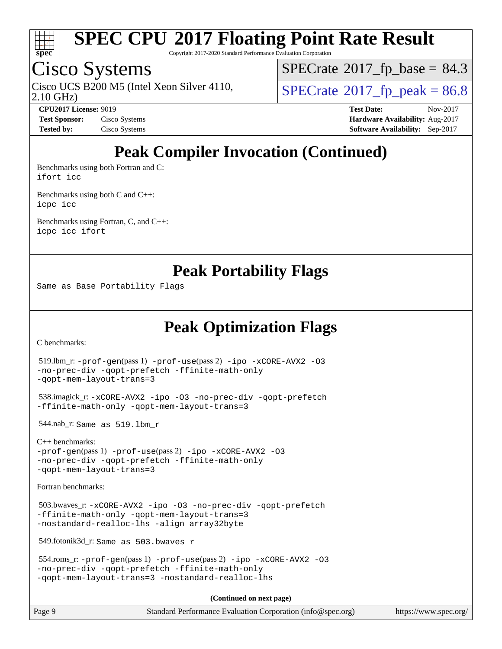

Copyright 2017-2020 Standard Performance Evaluation Corporation

### Cisco Systems

2.10 GHz) Cisco UCS B200 M5 (Intel Xeon Silver 4110,  $\vert$  [SPECrate](http://www.spec.org/auto/cpu2017/Docs/result-fields.html#SPECrate2017fppeak)®[2017\\_fp\\_peak = 8](http://www.spec.org/auto/cpu2017/Docs/result-fields.html#SPECrate2017fppeak)6.8

 $SPECTate@2017_fp\_base = 84.3$ 

**[CPU2017 License:](http://www.spec.org/auto/cpu2017/Docs/result-fields.html#CPU2017License)** 9019 **[Test Date:](http://www.spec.org/auto/cpu2017/Docs/result-fields.html#TestDate)** Nov-2017 **[Test Sponsor:](http://www.spec.org/auto/cpu2017/Docs/result-fields.html#TestSponsor)** Cisco Systems **Cisco Systems [Hardware Availability:](http://www.spec.org/auto/cpu2017/Docs/result-fields.html#HardwareAvailability)** Aug-2017 **[Tested by:](http://www.spec.org/auto/cpu2017/Docs/result-fields.html#Testedby)** Cisco Systems **[Software Availability:](http://www.spec.org/auto/cpu2017/Docs/result-fields.html#SoftwareAvailability)** Sep-2017

### **[Peak Compiler Invocation \(Continued\)](http://www.spec.org/auto/cpu2017/Docs/result-fields.html#PeakCompilerInvocation)**

[Benchmarks using both Fortran and C](http://www.spec.org/auto/cpu2017/Docs/result-fields.html#BenchmarksusingbothFortranandC): [ifort](http://www.spec.org/cpu2017/results/res2017q4/cpu2017-20171128-01309.flags.html#user_CC_FCpeak_intel_ifort_18.0_8111460550e3ca792625aed983ce982f94888b8b503583aa7ba2b8303487b4d8a21a13e7191a45c5fd58ff318f48f9492884d4413fa793fd88dd292cad7027ca) [icc](http://www.spec.org/cpu2017/results/res2017q4/cpu2017-20171128-01309.flags.html#user_CC_FCpeak_intel_icc_18.0_66fc1ee009f7361af1fbd72ca7dcefbb700085f36577c54f309893dd4ec40d12360134090235512931783d35fd58c0460139e722d5067c5574d8eaf2b3e37e92)

[Benchmarks using both C and C++](http://www.spec.org/auto/cpu2017/Docs/result-fields.html#BenchmarksusingbothCandCXX): [icpc](http://www.spec.org/cpu2017/results/res2017q4/cpu2017-20171128-01309.flags.html#user_CC_CXXpeak_intel_icpc_18.0_c510b6838c7f56d33e37e94d029a35b4a7bccf4766a728ee175e80a419847e808290a9b78be685c44ab727ea267ec2f070ec5dc83b407c0218cded6866a35d07) [icc](http://www.spec.org/cpu2017/results/res2017q4/cpu2017-20171128-01309.flags.html#user_CC_CXXpeak_intel_icc_18.0_66fc1ee009f7361af1fbd72ca7dcefbb700085f36577c54f309893dd4ec40d12360134090235512931783d35fd58c0460139e722d5067c5574d8eaf2b3e37e92)

[Benchmarks using Fortran, C, and C++:](http://www.spec.org/auto/cpu2017/Docs/result-fields.html#BenchmarksusingFortranCandCXX) [icpc](http://www.spec.org/cpu2017/results/res2017q4/cpu2017-20171128-01309.flags.html#user_CC_CXX_FCpeak_intel_icpc_18.0_c510b6838c7f56d33e37e94d029a35b4a7bccf4766a728ee175e80a419847e808290a9b78be685c44ab727ea267ec2f070ec5dc83b407c0218cded6866a35d07) [icc](http://www.spec.org/cpu2017/results/res2017q4/cpu2017-20171128-01309.flags.html#user_CC_CXX_FCpeak_intel_icc_18.0_66fc1ee009f7361af1fbd72ca7dcefbb700085f36577c54f309893dd4ec40d12360134090235512931783d35fd58c0460139e722d5067c5574d8eaf2b3e37e92) [ifort](http://www.spec.org/cpu2017/results/res2017q4/cpu2017-20171128-01309.flags.html#user_CC_CXX_FCpeak_intel_ifort_18.0_8111460550e3ca792625aed983ce982f94888b8b503583aa7ba2b8303487b4d8a21a13e7191a45c5fd58ff318f48f9492884d4413fa793fd88dd292cad7027ca)

**[Peak Portability Flags](http://www.spec.org/auto/cpu2017/Docs/result-fields.html#PeakPortabilityFlags)**

Same as Base Portability Flags

**[Peak Optimization Flags](http://www.spec.org/auto/cpu2017/Docs/result-fields.html#PeakOptimizationFlags)**

[C benchmarks](http://www.spec.org/auto/cpu2017/Docs/result-fields.html#Cbenchmarks):

```
 519.lbm_r: -prof-gen(pass 1) -prof-use(pass 2) -ipo -xCORE-AVX2 -O3
-no-prec-div -qopt-prefetch -ffinite-math-only
-qopt-mem-layout-trans=3
 538.imagick_r: -xCORE-AVX2 -ipo -O3 -no-prec-div -qopt-prefetch
-ffinite-math-only -qopt-mem-layout-trans=3
 544.nab_r: Same as 519.lbm_r
C++ benchmarks: 
-prof-gen(pass 1) -prof-use(pass 2) -ipo -xCORE-AVX2 -O3
-no-prec-div -qopt-prefetch -ffinite-math-only
-qopt-mem-layout-trans=3
Fortran benchmarks: 
 503.bwaves_r: -xCORE-AVX2 -ipo -O3 -no-prec-div -qopt-prefetch
-ffinite-math-only -qopt-mem-layout-trans=3
-nostandard-realloc-lhs -align array32byte
 549.fotonik3d_r: Same as 503.bwaves_r
 554.roms_r: -prof-gen(pass 1) -prof-use(pass 2) -ipo -xCORE-AVX2 -O3
-no-prec-div -qopt-prefetch -ffinite-math-only
-qopt-mem-layout-trans=3 -nostandard-realloc-lhs
                                      (Continued on next page)
```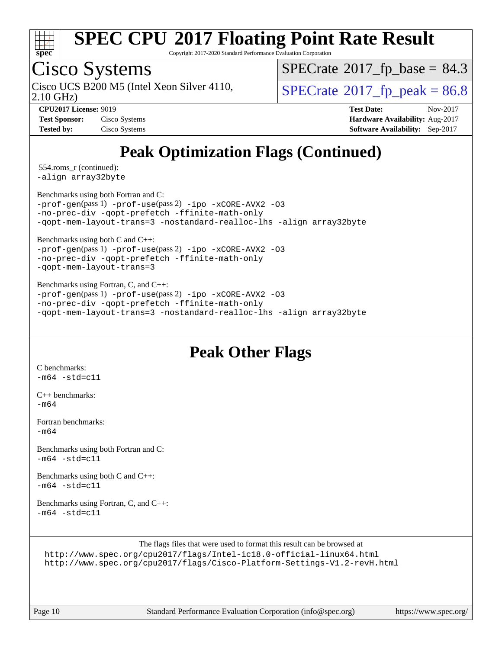

Copyright 2017-2020 Standard Performance Evaluation Corporation

### Cisco Systems

2.10 GHz) Cisco UCS B200 M5 (Intel Xeon Silver 4110,  $\vert$  [SPECrate](http://www.spec.org/auto/cpu2017/Docs/result-fields.html#SPECrate2017fppeak) 2017 fp peak = 86.8

 $SPECTate@2017_fp\_base = 84.3$ 

**[Test Sponsor:](http://www.spec.org/auto/cpu2017/Docs/result-fields.html#TestSponsor)** Cisco Systems **[Hardware Availability:](http://www.spec.org/auto/cpu2017/Docs/result-fields.html#HardwareAvailability)** Aug-2017 **[Tested by:](http://www.spec.org/auto/cpu2017/Docs/result-fields.html#Testedby)** Cisco Systems **[Software Availability:](http://www.spec.org/auto/cpu2017/Docs/result-fields.html#SoftwareAvailability)** Sep-2017

**[CPU2017 License:](http://www.spec.org/auto/cpu2017/Docs/result-fields.html#CPU2017License)** 9019 **[Test Date:](http://www.spec.org/auto/cpu2017/Docs/result-fields.html#TestDate)** Nov-2017

## **[Peak Optimization Flags \(Continued\)](http://www.spec.org/auto/cpu2017/Docs/result-fields.html#PeakOptimizationFlags)**

 554.roms\_r (continued): [-align array32byte](http://www.spec.org/cpu2017/results/res2017q4/cpu2017-20171128-01309.flags.html#user_peakEXTRA_FOPTIMIZE554_roms_r_align_array32byte_b982fe038af199962ba9a80c053b8342c548c85b40b8e86eb3cc33dee0d7986a4af373ac2d51c3f7cf710a18d62fdce2948f201cd044323541f22fc0fffc51b6)

[Benchmarks using both Fortran and C](http://www.spec.org/auto/cpu2017/Docs/result-fields.html#BenchmarksusingbothFortranandC):

[-prof-gen](http://www.spec.org/cpu2017/results/res2017q4/cpu2017-20171128-01309.flags.html#user_CC_FCpeak_prof_gen_5aa4926d6013ddb2a31985c654b3eb18169fc0c6952a63635c234f711e6e63dd76e94ad52365559451ec499a2cdb89e4dc58ba4c67ef54ca681ffbe1461d6b36)(pass 1) [-prof-use](http://www.spec.org/cpu2017/results/res2017q4/cpu2017-20171128-01309.flags.html#user_CC_FCpeak_prof_use_1a21ceae95f36a2b53c25747139a6c16ca95bd9def2a207b4f0849963b97e94f5260e30a0c64f4bb623698870e679ca08317ef8150905d41bd88c6f78df73f19)(pass 2) [-ipo](http://www.spec.org/cpu2017/results/res2017q4/cpu2017-20171128-01309.flags.html#user_CC_FCpeak_f-ipo) [-xCORE-AVX2](http://www.spec.org/cpu2017/results/res2017q4/cpu2017-20171128-01309.flags.html#user_CC_FCpeak_f-xCORE-AVX2) [-O3](http://www.spec.org/cpu2017/results/res2017q4/cpu2017-20171128-01309.flags.html#user_CC_FCpeak_f-O3) [-no-prec-div](http://www.spec.org/cpu2017/results/res2017q4/cpu2017-20171128-01309.flags.html#user_CC_FCpeak_f-no-prec-div) [-qopt-prefetch](http://www.spec.org/cpu2017/results/res2017q4/cpu2017-20171128-01309.flags.html#user_CC_FCpeak_f-qopt-prefetch) [-ffinite-math-only](http://www.spec.org/cpu2017/results/res2017q4/cpu2017-20171128-01309.flags.html#user_CC_FCpeak_f_finite_math_only_cb91587bd2077682c4b38af759c288ed7c732db004271a9512da14a4f8007909a5f1427ecbf1a0fb78ff2a814402c6114ac565ca162485bbcae155b5e4258871) [-qopt-mem-layout-trans=3](http://www.spec.org/cpu2017/results/res2017q4/cpu2017-20171128-01309.flags.html#user_CC_FCpeak_f-qopt-mem-layout-trans_de80db37974c74b1f0e20d883f0b675c88c3b01e9d123adea9b28688d64333345fb62bc4a798493513fdb68f60282f9a726aa07f478b2f7113531aecce732043) [-nostandard-realloc-lhs](http://www.spec.org/cpu2017/results/res2017q4/cpu2017-20171128-01309.flags.html#user_CC_FCpeak_f_2003_std_realloc_82b4557e90729c0f113870c07e44d33d6f5a304b4f63d4c15d2d0f1fab99f5daaed73bdb9275d9ae411527f28b936061aa8b9c8f2d63842963b95c9dd6426b8a) [-align array32byte](http://www.spec.org/cpu2017/results/res2017q4/cpu2017-20171128-01309.flags.html#user_CC_FCpeak_align_array32byte_b982fe038af199962ba9a80c053b8342c548c85b40b8e86eb3cc33dee0d7986a4af373ac2d51c3f7cf710a18d62fdce2948f201cd044323541f22fc0fffc51b6)

[Benchmarks using both C and C++](http://www.spec.org/auto/cpu2017/Docs/result-fields.html#BenchmarksusingbothCandCXX):

[-prof-gen](http://www.spec.org/cpu2017/results/res2017q4/cpu2017-20171128-01309.flags.html#user_CC_CXXpeak_prof_gen_5aa4926d6013ddb2a31985c654b3eb18169fc0c6952a63635c234f711e6e63dd76e94ad52365559451ec499a2cdb89e4dc58ba4c67ef54ca681ffbe1461d6b36)(pass 1) [-prof-use](http://www.spec.org/cpu2017/results/res2017q4/cpu2017-20171128-01309.flags.html#user_CC_CXXpeak_prof_use_1a21ceae95f36a2b53c25747139a6c16ca95bd9def2a207b4f0849963b97e94f5260e30a0c64f4bb623698870e679ca08317ef8150905d41bd88c6f78df73f19)(pass 2) [-ipo](http://www.spec.org/cpu2017/results/res2017q4/cpu2017-20171128-01309.flags.html#user_CC_CXXpeak_f-ipo) [-xCORE-AVX2](http://www.spec.org/cpu2017/results/res2017q4/cpu2017-20171128-01309.flags.html#user_CC_CXXpeak_f-xCORE-AVX2) [-O3](http://www.spec.org/cpu2017/results/res2017q4/cpu2017-20171128-01309.flags.html#user_CC_CXXpeak_f-O3) [-no-prec-div](http://www.spec.org/cpu2017/results/res2017q4/cpu2017-20171128-01309.flags.html#user_CC_CXXpeak_f-no-prec-div) [-qopt-prefetch](http://www.spec.org/cpu2017/results/res2017q4/cpu2017-20171128-01309.flags.html#user_CC_CXXpeak_f-qopt-prefetch) [-ffinite-math-only](http://www.spec.org/cpu2017/results/res2017q4/cpu2017-20171128-01309.flags.html#user_CC_CXXpeak_f_finite_math_only_cb91587bd2077682c4b38af759c288ed7c732db004271a9512da14a4f8007909a5f1427ecbf1a0fb78ff2a814402c6114ac565ca162485bbcae155b5e4258871) [-qopt-mem-layout-trans=3](http://www.spec.org/cpu2017/results/res2017q4/cpu2017-20171128-01309.flags.html#user_CC_CXXpeak_f-qopt-mem-layout-trans_de80db37974c74b1f0e20d883f0b675c88c3b01e9d123adea9b28688d64333345fb62bc4a798493513fdb68f60282f9a726aa07f478b2f7113531aecce732043)

[Benchmarks using Fortran, C, and C++:](http://www.spec.org/auto/cpu2017/Docs/result-fields.html#BenchmarksusingFortranCandCXX) [-prof-gen](http://www.spec.org/cpu2017/results/res2017q4/cpu2017-20171128-01309.flags.html#user_CC_CXX_FCpeak_prof_gen_5aa4926d6013ddb2a31985c654b3eb18169fc0c6952a63635c234f711e6e63dd76e94ad52365559451ec499a2cdb89e4dc58ba4c67ef54ca681ffbe1461d6b36)(pass 1) [-prof-use](http://www.spec.org/cpu2017/results/res2017q4/cpu2017-20171128-01309.flags.html#user_CC_CXX_FCpeak_prof_use_1a21ceae95f36a2b53c25747139a6c16ca95bd9def2a207b4f0849963b97e94f5260e30a0c64f4bb623698870e679ca08317ef8150905d41bd88c6f78df73f19)(pass 2) [-ipo](http://www.spec.org/cpu2017/results/res2017q4/cpu2017-20171128-01309.flags.html#user_CC_CXX_FCpeak_f-ipo) [-xCORE-AVX2](http://www.spec.org/cpu2017/results/res2017q4/cpu2017-20171128-01309.flags.html#user_CC_CXX_FCpeak_f-xCORE-AVX2) [-O3](http://www.spec.org/cpu2017/results/res2017q4/cpu2017-20171128-01309.flags.html#user_CC_CXX_FCpeak_f-O3) [-no-prec-div](http://www.spec.org/cpu2017/results/res2017q4/cpu2017-20171128-01309.flags.html#user_CC_CXX_FCpeak_f-no-prec-div) [-qopt-prefetch](http://www.spec.org/cpu2017/results/res2017q4/cpu2017-20171128-01309.flags.html#user_CC_CXX_FCpeak_f-qopt-prefetch) [-ffinite-math-only](http://www.spec.org/cpu2017/results/res2017q4/cpu2017-20171128-01309.flags.html#user_CC_CXX_FCpeak_f_finite_math_only_cb91587bd2077682c4b38af759c288ed7c732db004271a9512da14a4f8007909a5f1427ecbf1a0fb78ff2a814402c6114ac565ca162485bbcae155b5e4258871) [-qopt-mem-layout-trans=3](http://www.spec.org/cpu2017/results/res2017q4/cpu2017-20171128-01309.flags.html#user_CC_CXX_FCpeak_f-qopt-mem-layout-trans_de80db37974c74b1f0e20d883f0b675c88c3b01e9d123adea9b28688d64333345fb62bc4a798493513fdb68f60282f9a726aa07f478b2f7113531aecce732043) [-nostandard-realloc-lhs](http://www.spec.org/cpu2017/results/res2017q4/cpu2017-20171128-01309.flags.html#user_CC_CXX_FCpeak_f_2003_std_realloc_82b4557e90729c0f113870c07e44d33d6f5a304b4f63d4c15d2d0f1fab99f5daaed73bdb9275d9ae411527f28b936061aa8b9c8f2d63842963b95c9dd6426b8a) [-align array32byte](http://www.spec.org/cpu2017/results/res2017q4/cpu2017-20171128-01309.flags.html#user_CC_CXX_FCpeak_align_array32byte_b982fe038af199962ba9a80c053b8342c548c85b40b8e86eb3cc33dee0d7986a4af373ac2d51c3f7cf710a18d62fdce2948f201cd044323541f22fc0fffc51b6)

#### **[Peak Other Flags](http://www.spec.org/auto/cpu2017/Docs/result-fields.html#PeakOtherFlags)**

[C benchmarks](http://www.spec.org/auto/cpu2017/Docs/result-fields.html#Cbenchmarks):  $-m64 - std = c11$  $-m64 - std = c11$ 

[C++ benchmarks:](http://www.spec.org/auto/cpu2017/Docs/result-fields.html#CXXbenchmarks) [-m64](http://www.spec.org/cpu2017/results/res2017q4/cpu2017-20171128-01309.flags.html#user_CXXpeak_intel_intel64_18.0_af43caccfc8ded86e7699f2159af6efc7655f51387b94da716254467f3c01020a5059329e2569e4053f409e7c9202a7efc638f7a6d1ffb3f52dea4a3e31d82ab)

[Fortran benchmarks](http://www.spec.org/auto/cpu2017/Docs/result-fields.html#Fortranbenchmarks):  $-m64$ 

[Benchmarks using both Fortran and C](http://www.spec.org/auto/cpu2017/Docs/result-fields.html#BenchmarksusingbothFortranandC):  $-m64 - std = c11$  $-m64 - std = c11$ 

[Benchmarks using both C and C++](http://www.spec.org/auto/cpu2017/Docs/result-fields.html#BenchmarksusingbothCandCXX):  $-m64$   $-std=cl1$ 

[Benchmarks using Fortran, C, and C++:](http://www.spec.org/auto/cpu2017/Docs/result-fields.html#BenchmarksusingFortranCandCXX)  $-m64$   $-std=cl1$ 

[The flags files that were used to format this result can be browsed at](tmsearch) <http://www.spec.org/cpu2017/flags/Intel-ic18.0-official-linux64.html>

<http://www.spec.org/cpu2017/flags/Cisco-Platform-Settings-V1.2-revH.html>